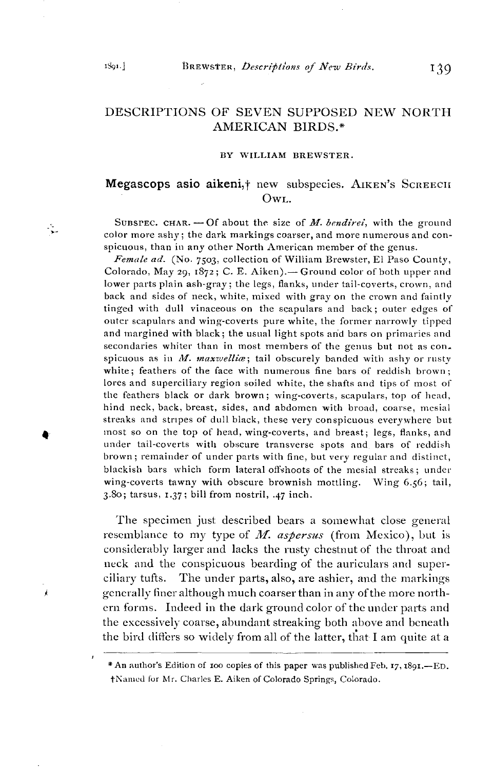#### BY WILLIAM BREWSTER.

# Megascops asio aikeni,<sup>†</sup> new subspecies. AIKEN's SCREECII **OWL.**

SUBSPEC. CHAR.  $\sim$  Of about the size of *M. bendirei*, with the ground color more ashy; the dark markings coarser, and more numerous and con**spicuous, than in any other North American member of the genus.** 

**Female ad. (No. 7503, collection of William Brewster, E1 Paso County,**  Colorado, May 29, 1872; C. E. Aiken). - Ground color of both upper and **lower parts plain ash-gray; the legs, flanks, under tail-coverts, crown, and back and sides of neck, white, mixed with gray on the crown and faintly tinged with dull vinaceous on the scapulars and back; outer edges of**  outer scapulars and wing-coverts pure white, the former narrowly tipped and margined with black; the usual light spots and bars on primaries and **secondaries whiter than in most members of the genus but not as con.**  spicuous as in  $M$ . maxwelliae; tail obscurely banded with ashy or rusty **white; feathers of the face with numerous fine bars of reddish browu; lores and superciliary region soiled white, the shafts and tips of most of**  the feathers black or dark brown; wing-coverts, scapulars, top of head, **hind neck, back, breast, sides, and abdomen with broad, coarse, roesial**  streaks and stripes of dull black, these very conspicuous everywhere but **most so on the top of head, wing-coverts, and breast; legs, flanks, and under tail-coverts with obscure transverse spots and bars of reddish brown; remaiuder of under parts with fine, but very regular and distinct,**  blackish bars which form lateral offshoots of the mesial streaks; under **wing-coverts tawny with obscure brownish mottling. Wing 6.56; tail, 3.80; tarsus, 1.37; bill froin nostril, '47 inch.** 

The specimen just described bears a somewhat close general resemblance to my type of M. aspersus (from Mexico), but is **considerably larger and lacks the rusty chestnut of the throat and neck and the conspicuous bearding of the auriculars and superciliary tufts. The under parts, also, are ashier, and the markings generally finer although much coarser than in any of the more northern forms. Indeed in the dark ground color of the under parts and the excessively coarse, abundant streaking both above and beneath**  the bird differs so widely from all of the latter, that I am quite at a

ς.,

**<sup>\*</sup>An author's Edition of xoo copies of this paper was published Feb. r7, x89t.--ED. tNamcd for Mr. Charles E. Aiken of Colorado Springs, Colorado.**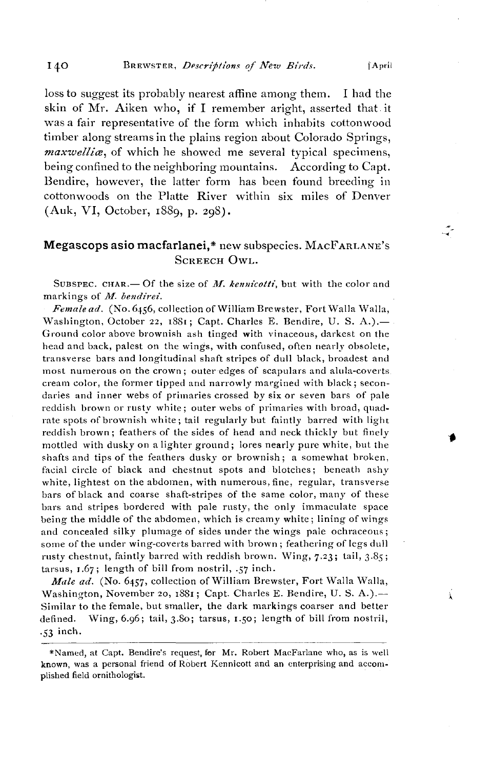loss to suggest its probably nearest affine among them. I had the skin of Mr. Aiken who, if I remember aright, asserted that it **was a fair representative of the form which inhabits cottonwood timber along streams in the plains region about Colorado Springs,**  *maxwellia*, of which he showed me several typical specimens, **being confined to the neighboring mountains. According to Capt.**  Bendire, however, the latter form has been found breeding in **cottonwoods on the Platte River within six miles of Denver (Auk, VI, October, t889, p. 298 ).** 

## **Megascops asio macfarlanei,\* new subspecies. MAcFARLANE'S SCREECH OWL.**

SUBSPEC. CHAR.- Of the size of *M. kennicotti*, but with the color and markings of *M. bendirei*.

**Female ad. (No. 6456, collection of William Brewster, Fort Walla Walla,**  Washington, October 22, 1881; Capt. Charles E. Bendire, U. S. A.).-Ground color above brownish ash tinged with vinaceous, darkest on the **head and back, palest on the wings, xvith confused, often nearly obsolete, transverse bars and longitudinal shaft stripes of dull black, broadest and most numerous on the crown; outer edges of scapulars and alnla-coverts**  cream color, the former tipped and narrowly margined with black; secon**daries and inner webs of primaries crossed by six or seven bars of pale reddish brown or rusty white; outer webs of primaries with broad, quadrate spots of brownish white; tail regularly but faintly barred with light reddish brown; feathers of the sides of head and neck thickly but finely mottled with dusky on a lighter ground; lores nearly pure white, but the shafts and tips of the feathers dusky or brownish; a somewhat broken, facial circle of black and chestnut spots and blotches; beneath ashy white, lightest on the abdomen, with numerous, fine, regular, transverse bars of black and coarse shaft-stripes of the same color, many of these bars and stripes bordered with pale rusty, the only immaculate space being the middle of the abdome,, which is creamy white; lining of wings and concealed silky plumage of sides under the wings pale ochraceous; some of the under wing-coverts barred with brown; feathering of legs dull**  rusty chestnut, faintly barred with reddish brown. Wing, 7.23; tail, 3.85; tarsus, 1.67; length of bill from nostril, .57 inch.

Male ad. (No. 6457, collection of William Brewster, Fort Walla Walla, **Washington, November 20, •88•; Capt. Charles E. Bendire, U.S. A.).-- Similar to the female, but smaller, the dark markings coarser and better**  defined. Wing, 6.96; tail, 3.80; tarsus, 1.50; length of bill from nostril, .53 inch.

يتمية

À

**<sup>\*</sup>Named, at Capt. Bendlre's request, for Mr. Robert MacFarlane who, as is well known, was a personal friend of Robert Kennicott and an enterprising and accomplished field ornithologist.**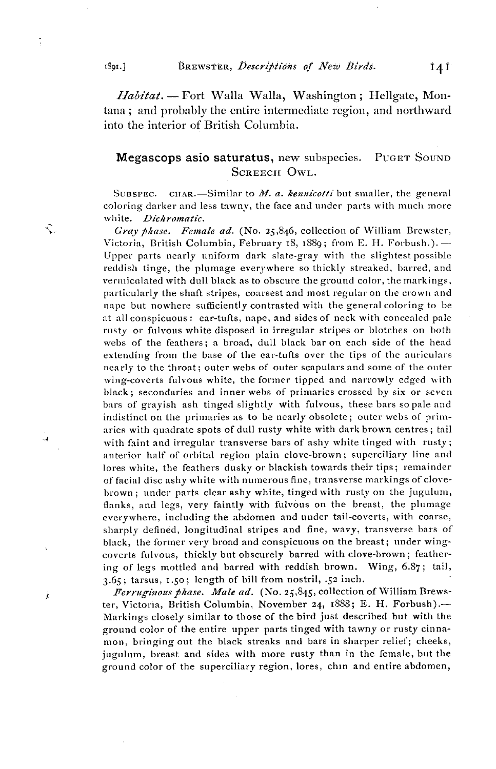Habitat. -- Fort Walla Walla, Washington; Hellgate, Mon**tana; and probably the entire intermediate region, and northward into the interior of British Columbia.** 

### **Megascops asio saturatus, new subspecies. PUGET SOUND**  SCREECH OWL.

SUBSPEC. CHAR.—Similar to *M. a. kennicolti* but smaller, the general **coloring darker and less tawny, the face and under parts with much more white. Dichromatic.** 

Gray phase. Female ad. (No. 25,846, collection of William Brewster, Victoria, British Columbia, February 18, 1889; from E. H. Forbush.). -**Upper parts nearly uniform dark slate-gray with the slightest possible**  reddish tinge, the plumage everywhere so thickly streaked, barred, and **vermiculated with dull black as to obscure the ground color, the markings, particularly the shaft stripes, coarsest and most regular on the crown and nape but nowhere sufficiently contrasted with the general coloring to be at all conspicuous: ear-tufts, nape, and sides of neck with concealed pale**  rusty or fulvous white disposed in irregular stripes or blotches on both **webs of the feathers; a broad, dull black bar on each side of the head**  extending from the base of the ear-tufts over the tips of the auriculars **nearly to the throat; outer webs of outer scapulars and some of the outer**  wing-coverts fulvous white, the former tipped and narrowly edged with **black; secondaries and inner webs of primaries crossed by six or seven bars of grayish ash tinged slightly with fulvous, these bars sopale and indistinct on the primaries as to be nearly obsolete; outer webs of prim**aries with quadrate spots of dull rusty white with dark brown centres; tail **with faint and irregular transverse bars of ashy white tinged with rusty; anterior half of orbital region plain clove-brown; supercillary line and lores white, the feathers dusky or blackish towards their tips; remainder of facial disc ashy white with numerous fine, transverse markings of clovebrown; ander parts clear ashy white, tinged with rusty on the jugulum, flanks, and legs, very faintly with fulvons on the breast, the plumage everywhere, including the abdomen and under tail-coverts, with coarse, sharply defined, longitudinal stripes and fine, wavy, transverse bars of**  black, the former very broad and conspicuous on the breast; under wing**coverts fulvous, thickly but obscurely barred with clove-brown; feathering of legs mottled and barred with reddish brown. Wing, 6.87; tail, 3.65; tarsus, •.5 ø; length of bill from nostril, .52 inch.** 

**Ferruginous phase. Male ad. (No. 25, 845, collection of William Brewster, Victoria, British Columbia, November 24, I888; E. H. Forbush).-- Markings closely similar to those of the bird just described but with the ground color of the entire upper parts tinged with tawny or rusty cinnamon, bringing out the black streaks and bars in sharper relief; cheeks, jugulum, breast and sides with more rusty than in the female, but the**  ground color of the superciliary region, lores, chin and entire abdomen,

Ñ.

J.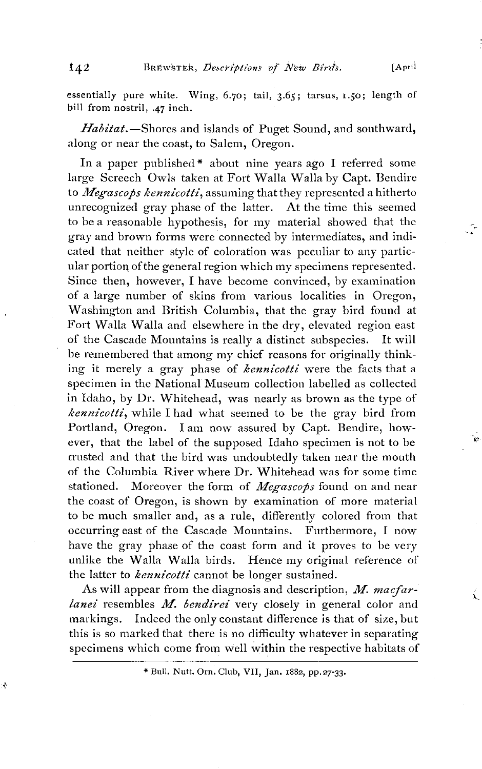essentially pure white. Wing, 6.70; tail, 3.65; tarsus, 1.50; length of **bill from nostril, .47 inch.** 

Habitat.-Shores and islands of Puget Sound, and southward, **along or near the coast, to Salem, Oregon.** 

**In a paper published\* about nine years ago I referred some large Screech Owls taken at Fort Walla Walla by Capt. Bendire**  to *Megascops kennicotti*, assuming that they represented a hitherto **unrecognized gray phase of the latter. At the time this seemed to bea reasonable hypothesis, for my material showed that the**  gray and brown forms were connected by intermediates, and indi**cated that neither style of coloration was peculiar to any particular portion of the general region which my specimens represented.**  Since then, however, I have become convinced, by examination **of a large number of skins from various localities in Oregon, Washington and British Columbia, that the gray bird found at Fort Walla Walla and elsewhere in the dry, elevated region east of the Cascade Mountains is really a distinct subspecies. It will be remembered that among my chief reasons for originally think**ing it merely a gray phase of kennicotti were the facts that a **specimen in the National Museum collection labelled as collected**  in Idaho, by Dr. Whitehead, was nearly as brown as the type of kennicotti, while I had what seemed to be the gray bird from **Portland, Oregon. I am now assured by Capt. Bendire, however, that the label of the supposed Idaho specimen is not to be m•sted and that the bird was undoubtedly taken near the mouth of the Columbia River where Dr. Whitehead was for some time**  stationed. Moreover the form of *Megascops* found on and near **the coast of Oregon, is shown by examination of more material**  to be much smaller and, as a rule, differently colored from that **occurring east of the Cascade Mountains. Furthermore, I now have the gray phase of the coast form and it proves to be very unlike the Walla Walla birds. Hence my original reference of**  the latter to *kennicotti* cannot be longer sustained.

As will appear from the diagnosis and description, *M. macfarlanei* resembles *M. bendirei* very closely in general color and markings. Indeed the only constant difference is that of size, but Indeed the only constant difference is that of size, but **this is so marked that there is no difficulty whatever in separating specimens which come from well within the respective habitats of** 

÷.

<sup>\*</sup> Bull. Nutt. Orn. Club, VII, Jan. 1882, pp. 27-33.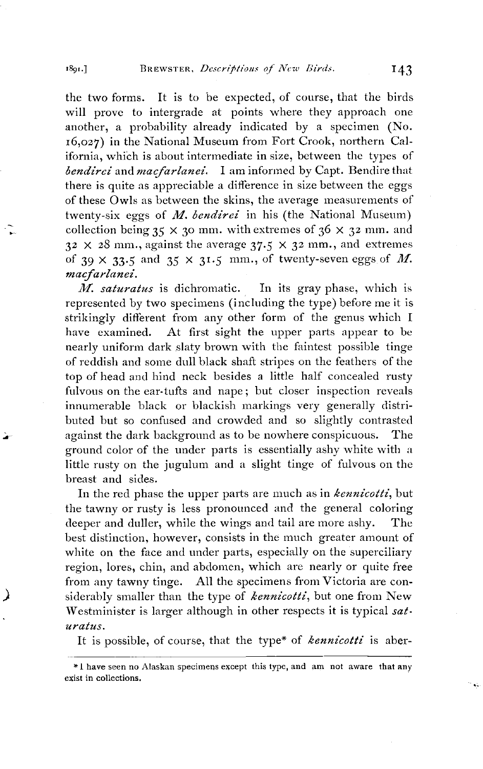**the two forms. It is to be expected, of course, that the birds will prove to intergrade at points where they approach one another, a probability already indicated by a specimen (No. •6,o27) in the National Museum from Fort Crook, northern California, which is about intermediate in size, between the types of bendirei** and *macfarlanei*. I am informed by Capt. Bendire that **there is quite as appreciable a difference in size between the eggs of these Owls as between the skins, the average measurements of**  twenty-six eggs of *M. bendirei* in his (the National Museum) collection being  $35 \times 30$  mm. with extremes of  $36 \times 32$  mm. and **32 X 28 mm., against the average 37'5 X 32 ram., and extremes**  of  $39 \times 33.5$  and  $35 \times 31.5$  mm., of twenty-seven eggs of M. **macfarlanel.** 

*M. saturatus* is dichromatic. In its gray phase, which is represented by two specimens (including the type) before me it is strikingly different from any other form of the genus which I have examined. At first sight the upper parts appear to be At first sight the upper parts appear to be **nearly uniform dark slaty brown with the fifintest possible tinge of reddish and some dull black shaft stripes on the feathers of the top of head and hind neck besides a little half coucealed rusty fulvous on the ear-tufts and nape; but closer inspection reveals innumerable black or blackish markings very generally distributed but so confused and crowded and so slightly contrasted**  against the dark background as to be nowhere conspicuous. **ground color of the under parts is essentially ashy white with a little rusty on the jugulum and a slight tinge of fulvous on the breast and sides.** 

In the red phase the upper parts are much as in kennicotti, but **the tawny or rusty is less pronounced and the general coloring**  deeper and duller, while the wings and tail are more ashy. **best distinction, however, consists in the much greater amount of white on the face and under parts, especially on the superciliary region, lores, chin, and abdomen, which are nearly or quite free**  from any tawny tinge. All the specimens from Victoria are considerably smaller than the type of kennicotti, but one from New Westminister is larger although in other respects it is typical *sat-*<br>*uratus*.

It is possible, of course, that the type<sup>\*</sup> of kennicotti is aber-

**<sup>&#</sup>x27;\*[ have seen no Alaskan specimens except this type, and am not aware that any exist in collections.**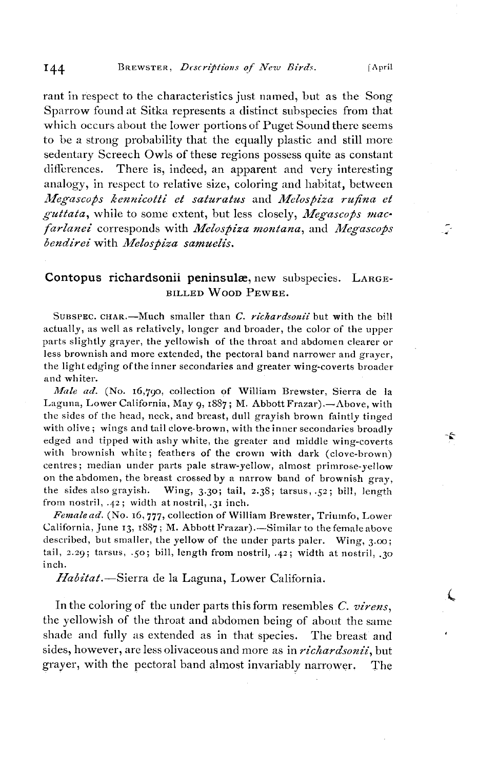**rant in respect to the characteristics just named, but as the Song Sparrow found at Sitka represents a distinct subspecies from that which occurs about the lower portions of Puget Sound there seems to be a strong probability that the equally plastic and still more sedentary Screech Owls of these regions possess quite as constant**  There is, indeed, an apparent and very interesting analogy, in respect to relative size, coloring and habitat, between *Megascops kennicotti et saturatus* and *Melospiza rufina et* guttata, while to some extent, but less closely, Megascops macfarlanei corresponds with *Melospiza montana*, and *Megascops* bendirei with Melospiza samuelis.

## Contopus richardsonii peninsulæ, new subspecies. LARGE-**BILLED WOOD PEWEE.**

SUBSPEC. CHAR.-Much smaller than *C. richardsonii* but with the bill **actually, as well as relatively, longer and broader, the color of the upper parts slightly grayer, the yellowish of the throat and abdomen clearer or less brownish and more extended, the pectoral band narrower and grayer, the light edging of the inner secondaries and greater wing-coverts broader and wbiter.** 

**Male ad. (No. •6,79o, collection of William Brewster, Sierra de la**  Laguna, Lower California, May 9, 1887; M. Abbott Frazar).-Above, with **the sides of the head, neck, and breast, dull grayish brown faintly tinged with olive; wings and tail clove-brown, with the inner secondaries broadly edged and tipped with asby white, the greater and middle wing-coverts with browuish white; feathers of the crown with dark (clove-brown) centres; median under parts pale straw-yellow, almost primrose-yellow on the abdomen, the breast crossed by a narrow band of brownish gray, the sides also grayish. Wing, 3.30; tail, 2.38; tarsus, .52; bill, length**  from nostril, .42; width at nostril, .31 inch.

**Femalead. (No. •6,777, collection of William Brewster, Trimnfo, Lower California, June t3, t887; M. Abbott Frazar).--Similar to the female above descrihed, but smaller, the yellow of the under parts paler. Wing, 3.oo;**  tail, 2.29; tarsus, .50; bill, length from nostril, .42; width at nostril, .30 **inch.** 

Habitat.-Sierra de la Laguna, Lower California.

In the coloring of the under parts this form resembles C. virens, the vellowish of the throat and abdomen being of about the same **shade and fiflly as extended as in that species. The breast and sides, however, are less olivaceous and more as in richardsonii, but grayer, with the pectoral band almost invariably narrower. The** 

۰ć

৻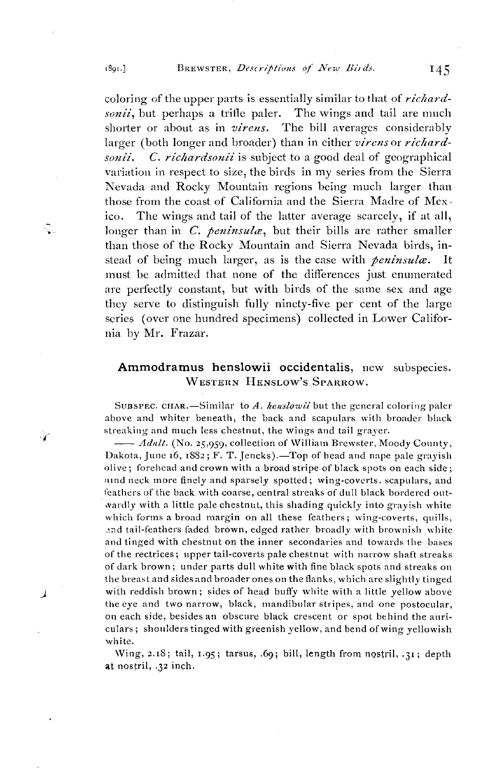coloring of the upper parts is essentially similar to that of *richard***soniz', but perhaps a trifle paler. The wings and tail are much shorter or about as in virens. The bill averages considerably**  larger (both longer and broader) than in either virens or richard-<br>sonii. C. richardsonii is subject to a good deal of geographical C. richardsonii is subject to a good deal of geographical **variatiou in respect to size, the birds in my series from the Sierra Nevada and Rocky Mountain regions being much larger than those from the coast of California and the Sierra Madre of Mexico. The wings and tail of the latter average scarcely, if at all,**  longer than in *C. peninsula*, but their bills are rather smaller **than those of the Rocky Mountain and Sierra Nevada birds, in**stead of being much larger, as is the case with *peninsula*. It **must be admitted that none of the differences just enumerated are perfectly constant, but with birds of the same sex and age they serve to distinguish fully ninety-five per cent of the large series (over one hundred specimens) collected in Lower California by Mr. Frazar.** 

# **Ammodramus henslowii occidentalis, new subspecies. WESTERN HENSLOW'S SPARROW.**

SUBSPEC. CHAR.—Similar to A. henslowii but the general coloring paler **above and whiter beneath, the back and scapulars with broader black streaking and much less chestnut, the wings and tail grayer.** 

---- Adult. (No. 25,959, collection of William Brewster, Moody County, Dakota, June 16, 1882; F. T. Jencks).—Top of head and nape pale grayish **olive; forehead and crown with a broad stripe of black spots on each side; mndneckinore finely and sparsely spotted; wing-coverts, scapnlars, and feathers of the back with coarse, central streaks of dull black bordered out- ,vardly with a little pale chestnut, this shading quickly into grayish white**  which forms a broad margin on all these feathers; wing-coverts, quills, **•:nd tail-feathers faded brown, edged rather broadly with brownish white**  and tinged with chestnut on the inner secondaries and towards the bases **of the rectrices; upper tail-coverts pale chestnut with narrow shaft streaks of dark brown; under parts dull white with fine black spots and streaks on the breast and sides and broader ones on the flanks, which are slightly tinged with reddish brown; sides of head buffy white xvith a little yellow above the eye and two narrow, black, mandibular stripes, and one postocular, on each side, besides an obscure black crescent or spot behind theauriculars; shonlders tinged with greenish yellow, and bend of wing yellowish white.** 

Wing, 2.18; tail, 1.95; tarsus, .69; bill, length from nostril, .31; depth at nostril, .32 inch.

€.

Ÿ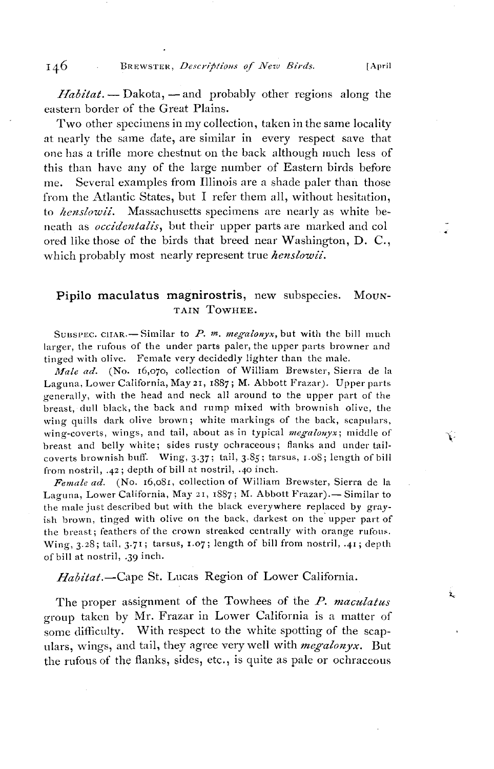**146** BREWSTER, *Descriptions of New Birds.* [April

Habitat. - Dakota, - and probably other regions along the **eastern border of the Great Plains.** 

**Two other specimens in my collection, taken in the same locality at nearly the same date, are similar in every respect save that one has a trifle more chestnut on the back although much less of this than have any of the large number of Eastern birds before me. Several examples from Illinois are a shade paler than those**  from the Atlantic States, but I refer them all, without hesitation, to *henslowii*. Massachusetts specimens are nearly as white beneath as *occidentalis*, but their upper parts are marked and col ored like those of the birds that breed near Washington, D. C., which probably most nearly represent true *henslowii*.

## Pipilo maculatus magnirostris, new subspecies. Moun-**TAIN TOWHEE.**

SUBSPEC. CHAR.-Similar to P. m. megalonyx, but with the bill much **larger, the rufous of the under parts paler, the upper parts browner and tinged with olive. Female very decidedly lighter than the male.** 

Male ad. (No. 16,070, collection of William Brewster, Sierra de la **Laguna, Lower California, May 2I, •887; M. Abbott Frazar). Upper parts generally, with the head and neck all around to the upper part of the breast, dull black, the back and rump mixed with brownish olive, the wing quills dark olive brown; white markings of the back, scapulars,**  wing-coverts, wings, and tail, about as in typical *megalonyx*; middle of breast and belly white; sides rusty ochraceous; flanks and under tail**coverts brownish buff. Wing, 3.37; tail, 3.85; tarsus, •.o8; length of bill from nostril, .42; depth of bill at nostril, .4o inch.** 

**Itemale ad. (No. •6,o8t, collection of William Brewster, Sierra de la**  Laguna, Lower California, May 21, 1887; M. Abbott Frazar).— Similar to the male just described but with the black everywhere replaced by gray**ish brown, tinged with olive on the back, darkest on the upper part of the breast; feathers of the crown streaked centrally with orange rufous.**  Wing, 3.28; tail, 3.71; tarsus, 1.07; length of bill from nostril, .41; depth **of bill at nostril, .39 inch.** 

## Habitat.-Cape St. Lucas Region of Lower California.

The proper assignment of the Towhees of the P. maculatus **group taken by Mr. Frazar in Lower California is a matter of some difficulty. With respect to the white spotting of the scap**ulars, wings, and tail, they agree very well with megalonyx. But the rufous of the flanks, sides, etc., is quite as pale or ochraceous

V

ż,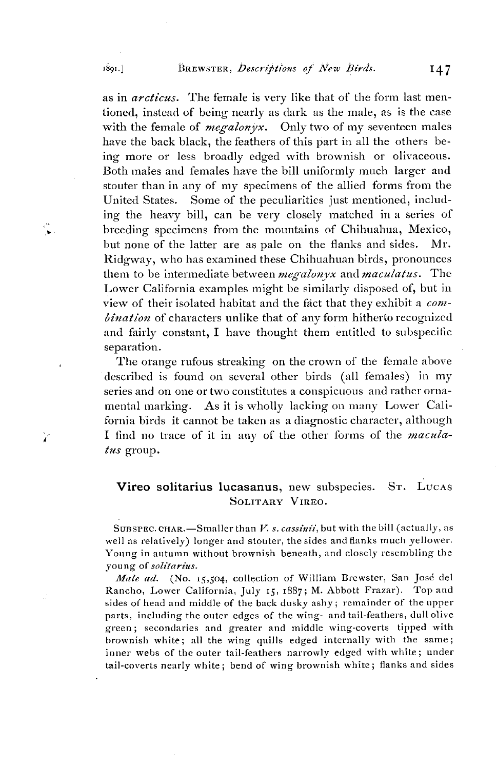as in *arcticus*. The female is very like that of the form last men**tioned, instead of being nearly as dark as the male, as is the case**  with the female of *megalonyx*. Only two of my seventeen males have the back black, the feathers of this part in all the others be**ing more or less broadly edged with brownish or olivaceous. Both males and females have the bill uniformly much larger and stouter than in any of my specimens of the allied forms from the United States. Some of the peculiarities just mentioned, including the heavy bill, can be very closely matched in a series of**  breeding specimens from the mountains of Chihuahua, Mexico, **but none of the latter are as pale on the flanks and sides. Mr. Ridgway, who has examined these Chihuahuan birds, pronounces**  them to be intermediate between *megalonyx* and *maculatus*. The **Lower California examples might be similarly disposed of, but in**  view of their isolated habitat and the fact that they exhibit a *com***bination** of characters unlike that of any form hitherto recognized and fairly constant, I have thought them entitled to subspecific **separation.** 

**The orange rufous streaking on the crown of the female above described is found on several other birds (all females) in my series and on one or two constitutes a conspicuous aud rather ornamental marking. As it is wholly lacking on many Lower California birds it cannot be taken as a diagnostic character, although I find no trace of it in any of the other forms of the maculalus group.** 

# **Vireo solitarius lucasanus, new subspecies. ST. LUCAS SOLITARY VIREO.**

SUBSPEC. CHAR.-Smaller than V. s. cassinii, but with the bill (actually, as **xvell as relatively) longer and stouter, the sides and flanks much yellowet. Young in autumn without brownish beneath, and closely resembling tbe**  young of solitarius.

Male ad. (No. 15,504, collection of William Brewster, San José del Rancho, Lower California, July 15, 1887; M. Abbott Frazar). Top and **sides of head and middle of the back dusky ashy; remainder of' the upper parts, including the outer edges of the wing- and tail-feathers, dull olive green; secondaries and greater and middle wing-coverts tipped with brownish white; all the wing qnills edged internally with the same; inner webs of the outer tail-feathers narrowly edged with wbite; under tail-coverts nearly white; bend of wing brownish white; flanks and sides** 

۰.

Y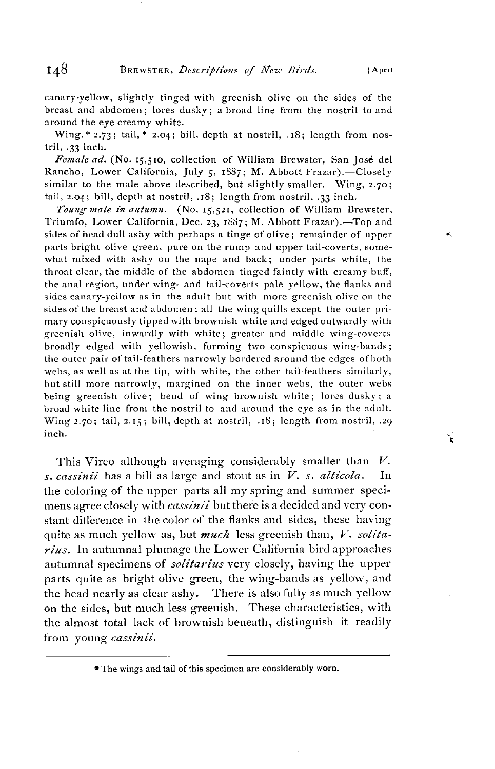ì

**canary-yellow, slightly tinged with greenish olive on the sides of the breast and abdomen; lores dusky; a broad line from the nostril to and around the eye creamy white.** 

**Wing,\* 2.73; tail,\* 2.04; bill, depth at nostril, .I8; length from nos**tril, .33 inch.

Female ad. (No. 15,510, collection of William Brewster, San José del Rancho, Lower California, July 5, 1887; M. Abbott Frazar).-Closely **similar to the male above described, but slightly smaller. Wing, 2.70; tail, 2.04; bill, depth at nostril, .I8; length from nostril, .33 inch.** 

Toung male in autumn. (No. 15,521, collection of William Brewster, Triumfo, Lower California, Dec. 23, 1887; M. Abbott Frazar).-Top and sides of head dull ashy with perhaps a tinge of olive; remainder of upper **parts bright olive green, pure on the rump and upper tail-coverts, somexvhat mixed with ashy on the nape and back; under parts white, the throat clear, the middle of the abdomen tinged faintly with creamy buff, the anal region, under wing- and tail-coverts pale yellow, the flanks and**  sides canary-yellow as in the adult but with more greenish olive on the sides of the breast and abdomen; all the wing quills except the outer pri**mary conspicuously tipped with brownish white and edged outwardly xvith greenish olive, inwardly with white; greater and middle wing-coverts broadly edged with yellowish, forming two conspicuous wing-bands; the outer pair of tail-feathers narrowly bordered around the edges of both**  webs, as well as at the tip, with white, the other tail-feathers similarly, **but still more narrowly, margined on the inner webs, the outer webs being greenish olive; bend of wing brownish white; lores dusky; a broad white line from the nostril to and around the eye as in the adult. Wing 2.70; tail, 2. I5; bill, depth at nostril, .I8; length from nostril, .29 inch.** 

This Vireo although averaging considerably smaller than  $V$ .<br> *cassinii* has a bill as large and stout as in  $V$ , s. alticola. In s. cassinii has a bill as large and stout as in V. s. alticola. **the coloring of the upper parts all my spring and summer speci**mens agree closely with *cassinii* but there is a decided and very constant difference in the color of the flanks and sides, these having quite as much yellow as, but *much* less greenish than, *V. solita*rius. In autumnal plumage the Lower California bird approaches autumnal specimens of *solitarius* very closely, having the upper parts quite as bright olive green, the wing-bands as yellow, and **the head nearly as clear ashy. There is also fully as much yellow on the sides, but much less greenish. These characteristics, with the almost total lack of brownish beneath, distinguish it readily from young cassinii.** 

**The wings and tail of this specimen are considerably worn.**